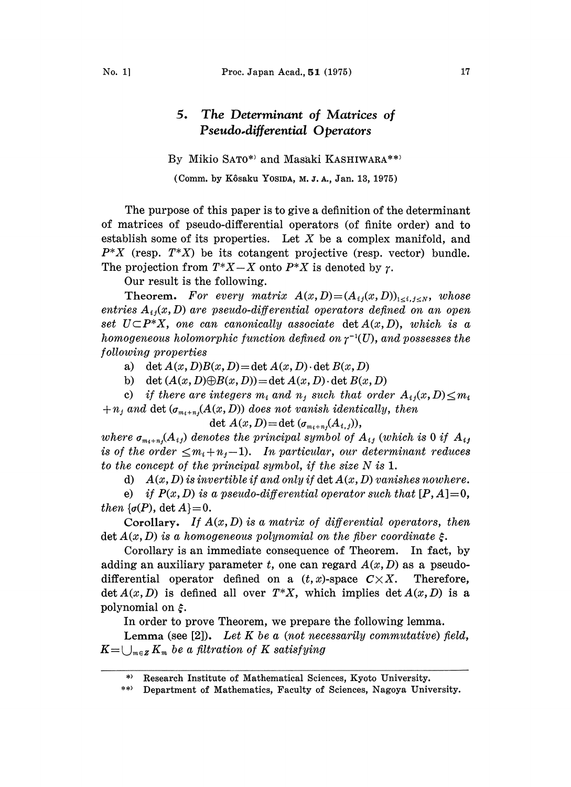## 5, The Determinant of Matrices of Pseudo.differential Operators

By Mikio SATO\*) and Masaki KASHIWARA\*\*)

(Comm. by Kôsaku YosiDA, M. J. A., Jan. 13, 1975)

The purpose of this paper is to give a definition of the determinant of matrices of pseudo-differential operators (of finite order) and to establish some of its properties. Let  $X$  be a complex manifold, and  $P^*X$  (resp.  $T^*X$ ) be its cotangent projective (resp. vector) bundle. The projection from  $T^*X-X$  onto  $P^*X$  is denoted by  $\gamma$ .

Our result is the following.

Theorem. For every matrix  $A(x, D) = (A_{ij}(x, D))_{1 \le i,j \le N}$ , whose entries  $A_{ij}(x, D)$  are pseudo-differential operators defined on an open set  $U \subset P^*X$ , one can canonically associate det  $A(x, D)$ , which is a homogeneous holomorphic function defined on  $\gamma^{-1}(U)$ , and possesses the following properties

a) det  $A(x, D)B(x, D) = \det A(x, D) \cdot \det B(x, D)$ 

b) det  $(A(x, D) \oplus B(x, D)) = \det A(x, D) \cdot \det B(x, D)$ 

c) if there are integers  $m_i$  and  $n_j$  such that order  $A_{ij}(x, D) \leq m_i$  $+n_j$  and det  $(\sigma_{m_i+n_j}(A(x, D))$  does not vanish identically, then

$$
\det A(x,D)=\det (\sigma_{m_i+n_j}(A_{i,j})),
$$

where  $\sigma_{m_i+n_j}(A_{ij})$  denotes the principal symbol of  $A_{ij}$  (which is 0 if  $A_{ij}$ is of the order  $\leq m_i + n_j - 1$ . In particular, our determinant reduces to the concept of the principal symbol, if the size N is 1.

d)  $A(x, D)$  is invertible if and only if  $\det A(x, D)$  vanishes nowhere.

e) if  $P(x, D)$  is a pseudo-differential operator such that  $[P, A]=0$ , then  $\{\sigma(P), \det A\} = 0.$ 

Corollary. If  $A(x, D)$  is a matrix of differential operators, then  $\det A(x, D)$  is a homogeneous polynomial on the fiber coordinate  $\xi$ .

Corollary is an immediate consequence of Theorem. In fact, by adding an auxiliary parameter t, one can regard  $A(x, D)$  as a pseudodifferential operator defined on a  $(t, x)$ -space  $C \times X$ . Therefore, det  $A(x, D)$  is defined all over  $T^*X$ , which implies det  $A(x, D)$  is a polynomial on  $\xi$ .

In order to prove Theorem, we prepare the following lemma.

Lemma (see [2]). Let  $K$  be a (not necessarily commutative) field,  $K=\bigcup_{m\in\mathbb{Z}} K_m$  be a filtration of K satisfying

<sup>\*)</sup> Research Institute of Mathematical Sciences, Kyoto University.

<sup>\*\*)</sup> Department of Mathematics, Faculty of Sciences, Nagoya University.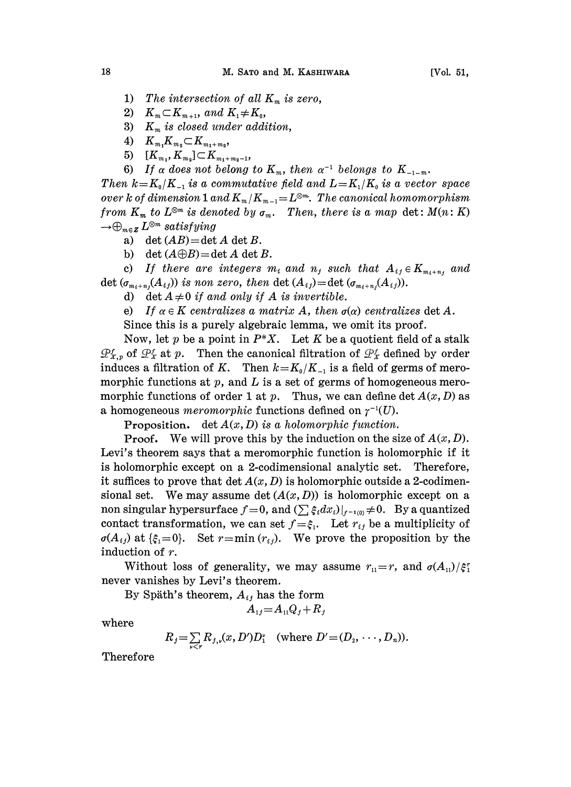- 1) The intersection of all  $K_m$  is zero,
- 2)  $K_m \subset K_{m+1}$ , and  $K_1 \neq K_0$ ,
- 3)  $K_m$  is closed under addition,
- 4)  $K_{m_1}K_{m_2} \subset K_{m_1+m_2},$
- 5)  $[K_{m_i}, K_{m_i}] \subset K_{m_i+m_{i-1}},$
- 

6) If  $\alpha$  does not belong to  $K_m$ , then  $\alpha^{-1}$  belongs to  $K_{-1-m}$ .<br>  $\iota k = K_0/K_{-1}$  is a commutative field and  $L = K_1/K_0$  is a vector  $k$  of dimension 1 and  $K_m/K_{m-1} = L^{\otimes m}$ . The canonical homometric  $K$  is denoted b Then  $k=K_0/K_{-1}$  is a commutative field and  $L=K_1/K_0$  is a vector space over k of dimension 1 and  $K_m/K_{m-1} = L^{\otimes m}$ . The canonical homomorphism from  $K_m$  to  $L^{\otimes m}$  is denoted by  $\sigma_m$ . Then, there is a map det:  $M(n: K)$  $\rightarrow \bigoplus_{m\in \mathbb{Z}} L^{\otimes m}$  satisfying

- a) det  $(AB) = \det A$  det B.
- b) det  $(A \oplus B) = \det A$  det B.

c) If there are integers  $m_i$  and  $n_j$  such that  $A_{ij} \in K_{m_i+n_j}$  and det  $(\sigma_{m_i+n_i}(A_{ij}))$  is non zero, then det  $(A_{ij})$ =det  $(\sigma_{m_i+n_i}(A_{ij}))$ .

d) det  $A \neq 0$  if and only if A is invertible.

e) If  $\alpha \in K$  centralizes a matrix A, then  $\sigma(\alpha)$  centralizes det A.

Since this is a purely algebraic lemma, we omit its proof.

Now, let p be a point in  $P^*X$ . Let K be a quotient field of a stalk  $\mathcal{P}_{X,p}^f$  of  $\mathcal{P}_X^f$  at p. Then the canonical filtration of  $\mathcal{P}_X^f$  defined by order induces a filtration of K. Then  $k=K_0/K_{-1}$  is a field of germs of meromorphic functions at  $p$ , and  $L$  is a set of germs of homogeneous meromorphic functions of order 1 at p. Thus, we can define det  $A(x, D)$  as a homogeneous *meromorphic* functions defined on  $\gamma^{-1}(U)$ .

**Proposition.** det  $A(x, D)$  is a holomorphic function.

**Proof.** We will prove this by the induction on the size of  $A(x, D)$ . Levi's theorem says that a meromorphic function is holomorphic if it is holomorphic except on 2-codimensional analytic set. Therefore, it suffices to prove that  $\det A(x, D)$  is holomorphic outside a 2-codimensional set. We may assume det  $(A(x, D))$  is holomorphic except on a non singular hypersurface  $f=0$ , and  $(\sum \xi_i dx_i)|_{f^{-1}(0)} \neq 0$ . By a quantized contact transformation, we can set  $f = \xi_1$ . Let  $r_{ij}$  be a multiplicity of  $\sigma(A_{ij})$  at  $\{\xi_1 = 0\}$ . Set  $r = \min(r_{ij})$ . We prove the proposition by the Set  $r = min (r_{ij})$ . We prove the proposition by the induction of r.

Without loss of generality, we may assume  $r_{11} = r$ , and  $\sigma(A_{11})/\xi_1^r$ never vanishes by Levi's theorem.

By Späth's theorem,  $A_{ij}$  has the form

 $A_{1i} = A_{11}Q_i + R_i$ 

where

$$
R_j = \sum_{v < r} R_{j,v}(x, D') D_1^v \quad \text{(where } D' = (D_2, \dots, D_n)).
$$

Therefore